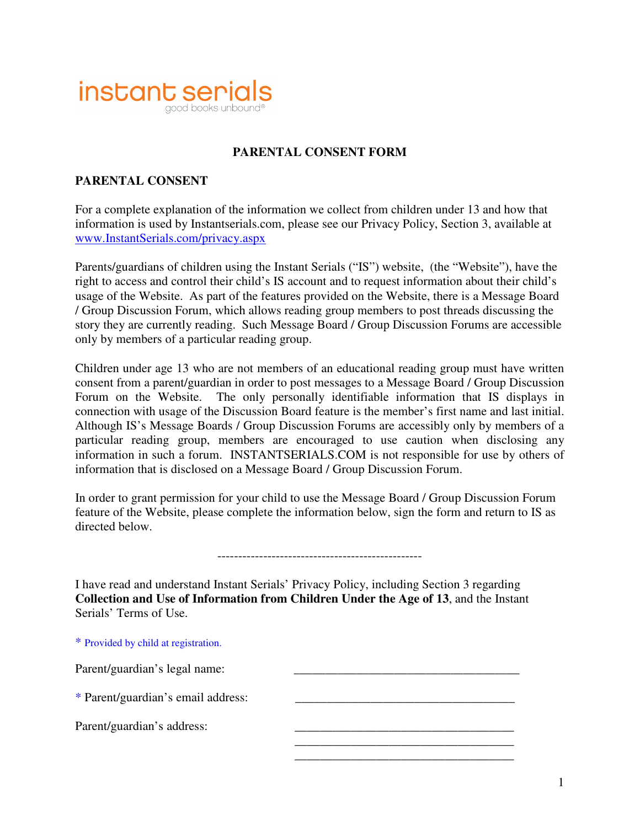

## **PARENTAL CONSENT FORM**

## **PARENTAL CONSENT**

For a complete explanation of the information we collect from children under 13 and how that information is used by Instantserials.com, please see our Privacy Policy, Section 3, available at www.InstantSerials.com/privacy.aspx

Parents/guardians of children using the Instant Serials ("IS") website, (the "Website"), have the right to access and control their child's IS account and to request information about their child's usage of the Website. As part of the features provided on the Website, there is a Message Board / Group Discussion Forum, which allows reading group members to post threads discussing the story they are currently reading. Such Message Board / Group Discussion Forums are accessible only by members of a particular reading group.

Children under age 13 who are not members of an educational reading group must have written consent from a parent/guardian in order to post messages to a Message Board / Group Discussion Forum on the Website. The only personally identifiable information that IS displays in connection with usage of the Discussion Board feature is the member's first name and last initial. Although IS's Message Boards / Group Discussion Forums are accessibly only by members of a particular reading group, members are encouraged to use caution when disclosing any information in such a forum. INSTANTSERIALS.COM is not responsible for use by others of information that is disclosed on a Message Board / Group Discussion Forum.

In order to grant permission for your child to use the Message Board / Group Discussion Forum feature of the Website, please complete the information below, sign the form and return to IS as directed below.

I have read and understand Instant Serials' Privacy Policy, including Section 3 regarding **Collection and Use of Information from Children Under the Age of 13**, and the Instant Serials' Terms of Use.

 $\overline{\phantom{a}}$  ,  $\overline{\phantom{a}}$  ,  $\overline{\phantom{a}}$  ,  $\overline{\phantom{a}}$  ,  $\overline{\phantom{a}}$  ,  $\overline{\phantom{a}}$  ,  $\overline{\phantom{a}}$  ,  $\overline{\phantom{a}}$  ,  $\overline{\phantom{a}}$  ,  $\overline{\phantom{a}}$  ,  $\overline{\phantom{a}}$  ,  $\overline{\phantom{a}}$  ,  $\overline{\phantom{a}}$  ,  $\overline{\phantom{a}}$  ,  $\overline{\phantom{a}}$  ,  $\overline{\phantom{a}}$  $\overline{\phantom{a}}$  ,  $\overline{\phantom{a}}$  ,  $\overline{\phantom{a}}$  ,  $\overline{\phantom{a}}$  ,  $\overline{\phantom{a}}$  ,  $\overline{\phantom{a}}$  ,  $\overline{\phantom{a}}$  ,  $\overline{\phantom{a}}$  ,  $\overline{\phantom{a}}$  ,  $\overline{\phantom{a}}$  ,  $\overline{\phantom{a}}$  ,  $\overline{\phantom{a}}$  ,  $\overline{\phantom{a}}$  ,  $\overline{\phantom{a}}$  ,  $\overline{\phantom{a}}$  ,  $\overline{\phantom{a}}$ 

\* Provided by child at registration.

Parent/guardian's legal name:

\* Parent/guardian's email address: \_\_\_\_\_\_\_\_\_\_\_\_\_\_\_\_\_\_\_\_\_\_\_\_\_\_\_\_\_\_\_\_\_\_\_

Parent/guardian's address: